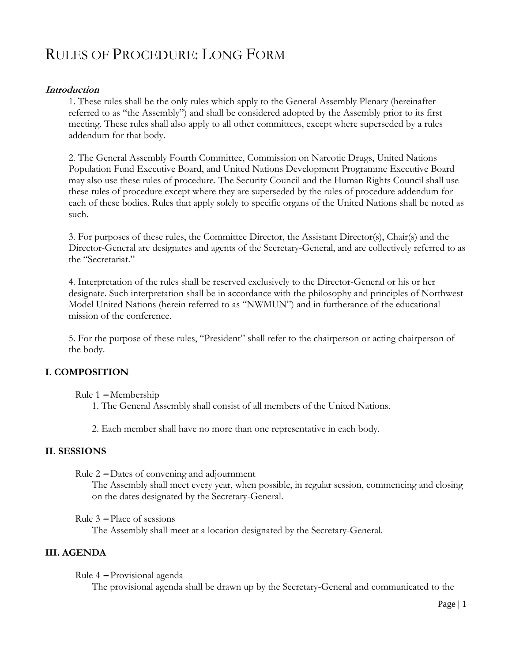# RULES OF PROCEDURE: LONG FORM

# **Introduction**

1. These rules shall be the only rules which apply to the General Assembly Plenary (hereinafter referred to as "the Assembly") and shall be considered adopted by the Assembly prior to its first meeting. These rules shall also apply to all other committees, except where superseded by a rules addendum for that body.

2. The General Assembly Fourth Committee, Commission on Narcotic Drugs, United Nations Population Fund Executive Board, and United Nations Development Programme Executive Board may also use these rules of procedure. The Security Council and the Human Rights Council shall use these rules of procedure except where they are superseded by the rules of procedure addendum for each of these bodies. Rules that apply solely to specific organs of the United Nations shall be noted as such.

3. For purposes of these rules, the Committee Director, the Assistant Director(s), Chair(s) and the Director-General are designates and agents of the Secretary-General, and are collectively referred to as the "Secretariat."

4. Interpretation of the rules shall be reserved exclusively to the Director-General or his or her designate. Such interpretation shall be in accordance with the philosophy and principles of Northwest Model United Nations (herein referred to as "NWMUN") and in furtherance of the educational mission of the conference.

5. For the purpose of these rules, "President" shall refer to the chairperson or acting chairperson of the body.

# **I. COMPOSITION**

Rule 1 **–** Membership

1. The General Assembly shall consist of all members of the United Nations.

2. Each member shall have no more than one representative in each body.

# **II. SESSIONS**

Rule 2 **–** Dates of convening and adjournment

The Assembly shall meet every year, when possible, in regular session, commencing and closing on the dates designated by the Secretary-General.

Rule 3 **–** Place of sessions

The Assembly shall meet at a location designated by the Secretary-General.

# **III. AGENDA**

Rule 4 **–** Provisional agenda

The provisional agenda shall be drawn up by the Secretary-General and communicated to the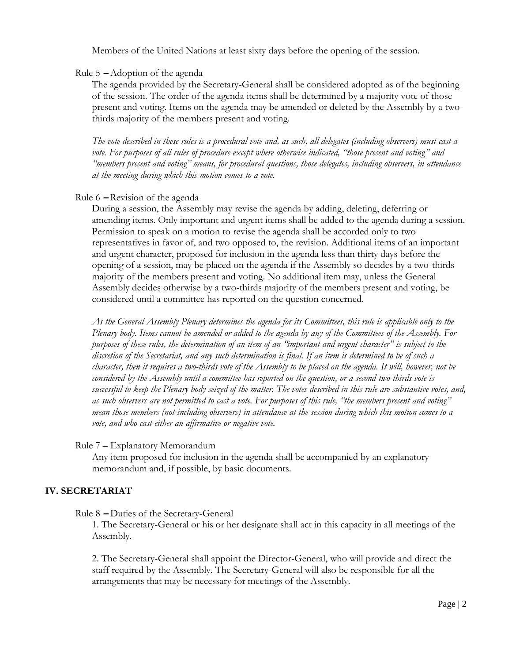Members of the United Nations at least sixty days before the opening of the session.

Rule 5 **–** Adoption of the agenda

The agenda provided by the Secretary-General shall be considered adopted as of the beginning of the session. The order of the agenda items shall be determined by a majority vote of those present and voting. Items on the agenda may be amended or deleted by the Assembly by a twothirds majority of the members present and voting.

*The vote described in these rules is a procedural vote and, as such, all delegates (including observers) must cast a vote. For purposes of all rules of procedure except where otherwise indicated, "those present and voting" and "members present and voting" means, for procedural questions, those delegates, including observers, in attendance at the meeting during which this motion comes to a vote.* 

# Rule 6 **–** Revision of the agenda

During a session, the Assembly may revise the agenda by adding, deleting, deferring or amending items. Only important and urgent items shall be added to the agenda during a session. Permission to speak on a motion to revise the agenda shall be accorded only to two representatives in favor of, and two opposed to, the revision. Additional items of an important and urgent character, proposed for inclusion in the agenda less than thirty days before the opening of a session, may be placed on the agenda if the Assembly so decides by a two-thirds majority of the members present and voting. No additional item may, unless the General Assembly decides otherwise by a two-thirds majority of the members present and voting, be considered until a committee has reported on the question concerned.

*As the General Assembly Plenary determines the agenda for its Committees, this rule is applicable only to the Plenary body. Items cannot be amended or added to the agenda by any of the Committees of the Assembly. For purposes of these rules, the determination of an item of an "important and urgent character" is subject to the discretion of the Secretariat, and any such determination is final. If an item is determined to be of such a character, then it requires a two-thirds vote of the Assembly to be placed on the agenda. It will, however, not be considered by the Assembly until a committee has reported on the question, or a second two-thirds vote is successful to keep the Plenary body seized of the matter. The votes described in this rule are substantive votes, and, as such observers are not permitted to cast a vote. For purposes of this rule, "the members present and voting" mean those members (not including observers) in attendance at the session during which this motion comes to a vote, and who cast either an affirmative or negative vote.*

Rule 7 – Explanatory Memorandum

Any item proposed for inclusion in the agenda shall be accompanied by an explanatory memorandum and, if possible, by basic documents.

# **IV. SECRETARIAT**

Rule 8 **–** Duties of the Secretary-General

1. The Secretary-General or his or her designate shall act in this capacity in all meetings of the Assembly.

2. The Secretary-General shall appoint the Director-General, who will provide and direct the staff required by the Assembly. The Secretary-General will also be responsible for all the arrangements that may be necessary for meetings of the Assembly.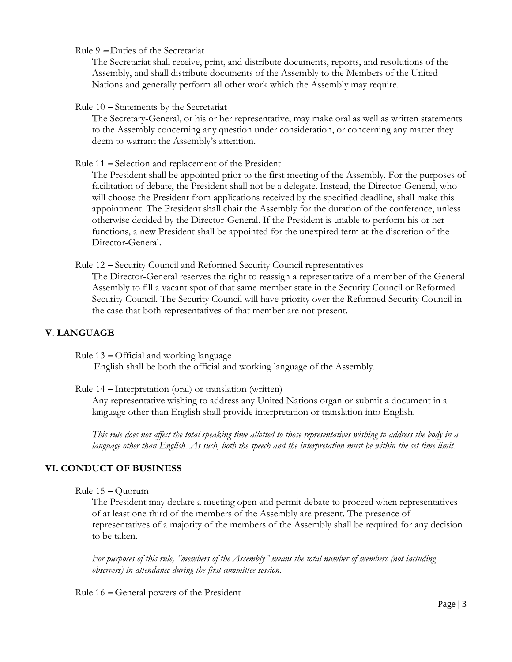Rule 9 **–** Duties of the Secretariat

The Secretariat shall receive, print, and distribute documents, reports, and resolutions of the Assembly, and shall distribute documents of the Assembly to the Members of the United Nations and generally perform all other work which the Assembly may require.

# Rule 10 **–** Statements by the Secretariat

The Secretary-General, or his or her representative, may make oral as well as written statements to the Assembly concerning any question under consideration, or concerning any matter they deem to warrant the Assembly's attention.

Rule 11 **–** Selection and replacement of the President

The President shall be appointed prior to the first meeting of the Assembly. For the purposes of facilitation of debate, the President shall not be a delegate. Instead, the Director-General, who will choose the President from applications received by the specified deadline, shall make this appointment. The President shall chair the Assembly for the duration of the conference, unless otherwise decided by the Director-General. If the President is unable to perform his or her functions, a new President shall be appointed for the unexpired term at the discretion of the Director-General.

Rule 12 **–** Security Council and Reformed Security Council representatives

The Director-General reserves the right to reassign a representative of a member of the General Assembly to fill a vacant spot of that same member state in the Security Council or Reformed Security Council. The Security Council will have priority over the Reformed Security Council in the case that both representatives of that member are not present.

# **V. LANGUAGE**

Rule 13 **–** Official and working language

English shall be both the official and working language of the Assembly.

Rule 14 **–** Interpretation (oral) or translation (written)

Any representative wishing to address any United Nations organ or submit a document in a language other than English shall provide interpretation or translation into English.

*This rule does not affect the total speaking time allotted to those representatives wishing to address the body in a language other than English. As such, both the speech and the interpretation must be within the set time limit.* 

# **VI. CONDUCT OF BUSINESS**

```
Rule 15 – Quorum
```
The President may declare a meeting open and permit debate to proceed when representatives of at least one third of the members of the Assembly are present. The presence of representatives of a majority of the members of the Assembly shall be required for any decision to be taken.

*For purposes of this rule, "members of the Assembly" means the total number of members (not including observers) in attendance during the first committee session.* 

Rule 16 **–** General powers of the President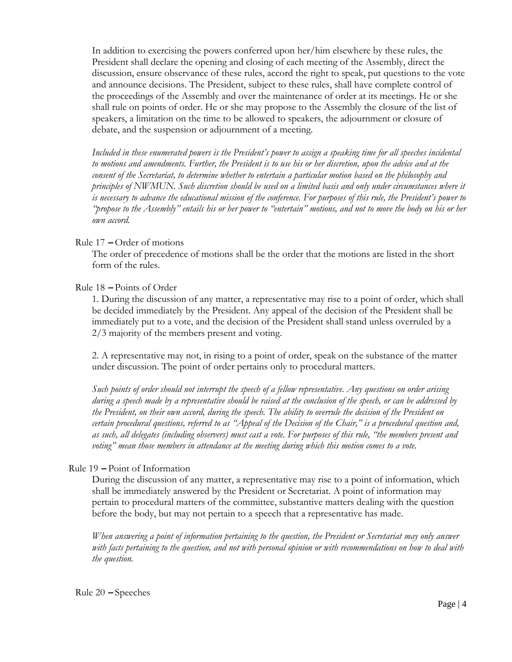In addition to exercising the powers conferred upon her/him elsewhere by these rules, the President shall declare the opening and closing of each meeting of the Assembly, direct the discussion, ensure observance of these rules, accord the right to speak, put questions to the vote and announce decisions. The President, subject to these rules, shall have complete control of the proceedings of the Assembly and over the maintenance of order at its meetings. He or she shall rule on points of order. He or she may propose to the Assembly the closure of the list of speakers, a limitation on the time to be allowed to speakers, the adjournment or closure of debate, and the suspension or adjournment of a meeting.

*Included in these enumerated powers is the President's power to assign a speaking time for all speeches incidental to motions and amendments. Further, the President is to use his or her discretion, upon the advice and at the consent of the Secretariat, to determine whether to entertain a particular motion based on the philosophy and principles of NWMUN. Such discretion should be used on a limited basis and only under circumstances where it is necessary to advance the educational mission of the conference. For purposes of this rule, the President's power to "propose to the Assembly" entails his or her power to "entertain" motions, and not to move the body on his or her own accord.*

## Rule 17 **–** Order of motions

The order of precedence of motions shall be the order that the motions are listed in the short form of the rules.

# Rule 18 **–** Points of Order

1. During the discussion of any matter, a representative may rise to a point of order, which shall be decided immediately by the President. Any appeal of the decision of the President shall be immediately put to a vote, and the decision of the President shall stand unless overruled by a 2/3 majority of the members present and voting.

2. A representative may not, in rising to a point of order, speak on the substance of the matter under discussion. The point of order pertains only to procedural matters.

*Such points of order should not interrupt the speech of a fellow representative. Any questions on order arising during a speech made by a representative should be raised at the conclusion of the speech, or can be addressed by the President, on their own accord, during the speech. The ability to overrule the decision of the President on certain procedural questions, referred to as "Appeal of the Decision of the Chair," is a procedural question and, as such, all delegates (including observers) must cast a vote. For purposes of this rule, "the members present and voting" mean those members in attendance at the meeting during which this motion comes to a vote.* 

## Rule 19 **–** Point of Information

During the discussion of any matter, a representative may rise to a point of information, which shall be immediately answered by the President or Secretariat. A point of information may pertain to procedural matters of the committee, substantive matters dealing with the question before the body, but may not pertain to a speech that a representative has made.

*When answering a point of information pertaining to the question, the President or Secretariat may only answer with facts pertaining to the question, and not with personal opinion or with recommendations on how to deal with the question.*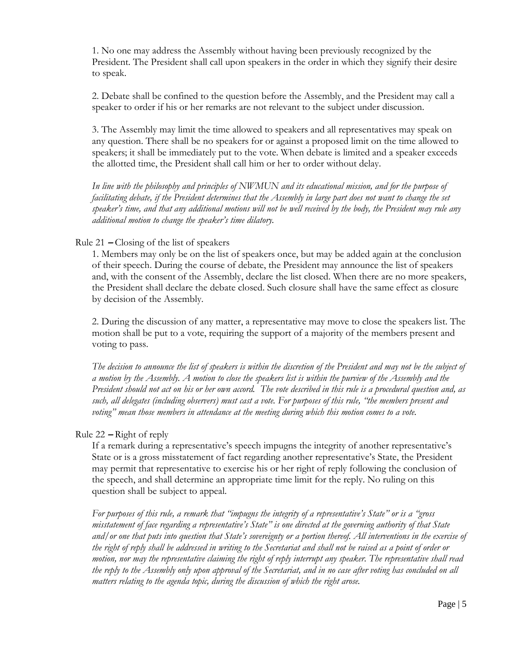1. No one may address the Assembly without having been previously recognized by the President. The President shall call upon speakers in the order in which they signify their desire to speak.

2. Debate shall be confined to the question before the Assembly, and the President may call a speaker to order if his or her remarks are not relevant to the subject under discussion.

3. The Assembly may limit the time allowed to speakers and all representatives may speak on any question. There shall be no speakers for or against a proposed limit on the time allowed to speakers; it shall be immediately put to the vote. When debate is limited and a speaker exceeds the allotted time, the President shall call him or her to order without delay.

*In line with the philosophy and principles of NWMUN and its educational mission, and for the purpose of facilitating debate, if the President determines that the Assembly in large part does not want to change the set speaker's time, and that any additional motions will not be well received by the body, the President may rule any additional motion to change the speaker's time dilatory.* 

# Rule 21 **–** Closing of the list of speakers

1. Members may only be on the list of speakers once, but may be added again at the conclusion of their speech. During the course of debate, the President may announce the list of speakers and, with the consent of the Assembly, declare the list closed. When there are no more speakers, the President shall declare the debate closed. Such closure shall have the same effect as closure by decision of the Assembly.

2. During the discussion of any matter, a representative may move to close the speakers list. The motion shall be put to a vote, requiring the support of a majority of the members present and voting to pass.

*The decision to announce the list of speakers is within the discretion of the President and may not be the subject of a motion by the Assembly. A motion to close the speakers list is within the purview of the Assembly and the President should not act on his or her own accord. The vote described in this rule is a procedural question and, as such, all delegates (including observers) must cast a vote. For purposes of this rule, "the members present and voting" mean those members in attendance at the meeting during which this motion comes to a vote.* 

## Rule 22 **–** Right of reply

If a remark during a representative's speech impugns the integrity of another representative's State or is a gross misstatement of fact regarding another representative's State, the President may permit that representative to exercise his or her right of reply following the conclusion of the speech, and shall determine an appropriate time limit for the reply. No ruling on this question shall be subject to appeal.

*For purposes of this rule, a remark that "impugns the integrity of a representative's State" or is a "gross misstatement of face regarding a representative's State" is one directed at the governing authority of that State and/or one that puts into question that State's sovereignty or a portion thereof. All interventions in the exercise of the right of reply shall be addressed in writing to the Secretariat and shall not be raised as a point of order or motion, nor may the representative claiming the right of reply interrupt any speaker. The representative shall read the reply to the Assembly only upon approval of the Secretariat, and in no case after voting has concluded on all matters relating to the agenda topic, during the discussion of which the right arose.*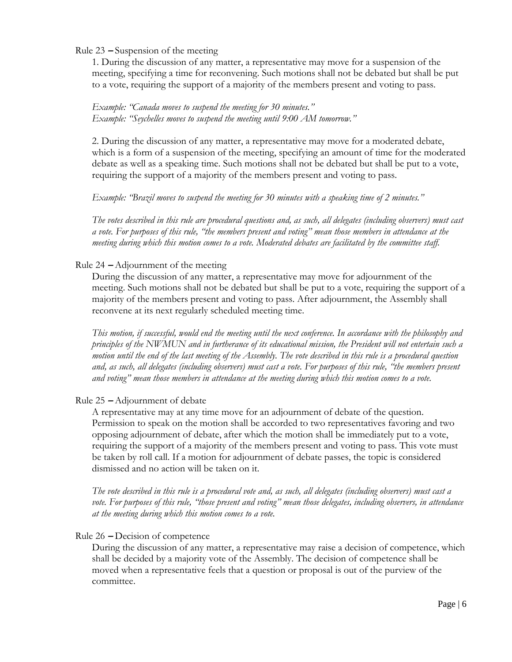Rule 23 **–** Suspension of the meeting

1. During the discussion of any matter, a representative may move for a suspension of the meeting, specifying a time for reconvening. Such motions shall not be debated but shall be put to a vote, requiring the support of a majority of the members present and voting to pass.

# *Example: "Canada moves to suspend the meeting for 30 minutes." Example: "Seychelles moves to suspend the meeting until 9:00 AM tomorrow."*

2. During the discussion of any matter, a representative may move for a moderated debate, which is a form of a suspension of the meeting, specifying an amount of time for the moderated debate as well as a speaking time. Such motions shall not be debated but shall be put to a vote, requiring the support of a majority of the members present and voting to pass.

*Example: "Brazil moves to suspend the meeting for 30 minutes with a speaking time of 2 minutes."* 

*The votes described in this rule are procedural questions and, as such, all delegates (including observers) must cast a vote. For purposes of this rule, "the members present and voting" mean those members in attendance at the meeting during which this motion comes to a vote. Moderated debates are facilitated by the committee staff.*

# Rule 24 **–** Adjournment of the meeting

During the discussion of any matter, a representative may move for adjournment of the meeting. Such motions shall not be debated but shall be put to a vote, requiring the support of a majority of the members present and voting to pass. After adjournment, the Assembly shall reconvene at its next regularly scheduled meeting time.

*This motion, if successful, would end the meeting until the next conference. In accordance with the philosophy and principles of the NWMUN and in furtherance of its educational mission, the President will not entertain such a motion until the end of the last meeting of the Assembly. The vote described in this rule is a procedural question and, as such, all delegates (including observers) must cast a vote. For purposes of this rule, "the members present and voting" mean those members in attendance at the meeting during which this motion comes to a vote.* 

## Rule 25 **–** Adjournment of debate

A representative may at any time move for an adjournment of debate of the question. Permission to speak on the motion shall be accorded to two representatives favoring and two opposing adjournment of debate, after which the motion shall be immediately put to a vote, requiring the support of a majority of the members present and voting to pass. This vote must be taken by roll call. If a motion for adjournment of debate passes, the topic is considered dismissed and no action will be taken on it.

*The vote described in this rule is a procedural vote and, as such, all delegates (including observers) must cast a vote. For purposes of this rule, "those present and voting" mean those delegates, including observers, in attendance at the meeting during which this motion comes to a vote.* 

## Rule 26 **–** Decision of competence

During the discussion of any matter, a representative may raise a decision of competence, which shall be decided by a majority vote of the Assembly. The decision of competence shall be moved when a representative feels that a question or proposal is out of the purview of the committee.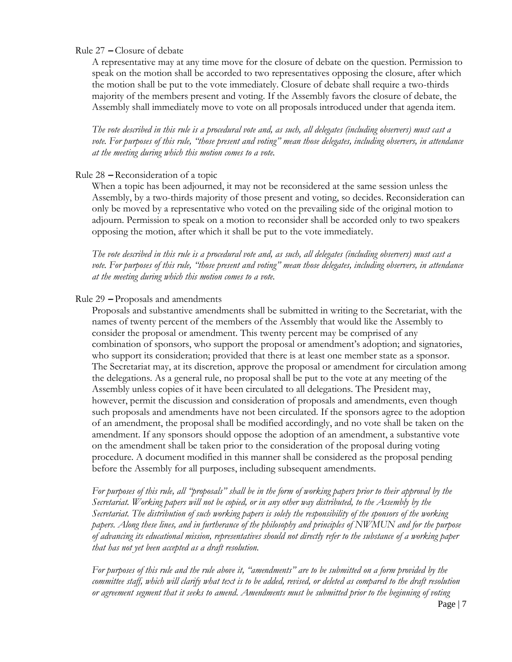## Rule 27 **–** Closure of debate

A representative may at any time move for the closure of debate on the question. Permission to speak on the motion shall be accorded to two representatives opposing the closure, after which the motion shall be put to the vote immediately. Closure of debate shall require a two-thirds majority of the members present and voting. If the Assembly favors the closure of debate, the Assembly shall immediately move to vote on all proposals introduced under that agenda item.

*The vote described in this rule is a procedural vote and, as such, all delegates (including observers) must cast a vote. For purposes of this rule, "those present and voting" mean those delegates, including observers, in attendance at the meeting during which this motion comes to a vote.* 

#### Rule 28 **–** Reconsideration of a topic

When a topic has been adjourned, it may not be reconsidered at the same session unless the Assembly, by a two-thirds majority of those present and voting, so decides. Reconsideration can only be moved by a representative who voted on the prevailing side of the original motion to adjourn. Permission to speak on a motion to reconsider shall be accorded only to two speakers opposing the motion, after which it shall be put to the vote immediately.

*The vote described in this rule is a procedural vote and, as such, all delegates (including observers) must cast a vote. For purposes of this rule, "those present and voting" mean those delegates, including observers, in attendance at the meeting during which this motion comes to a vote.* 

#### Rule 29 **–** Proposals and amendments

Proposals and substantive amendments shall be submitted in writing to the Secretariat, with the names of twenty percent of the members of the Assembly that would like the Assembly to consider the proposal or amendment. This twenty percent may be comprised of any combination of sponsors, who support the proposal or amendment's adoption; and signatories, who support its consideration; provided that there is at least one member state as a sponsor. The Secretariat may, at its discretion, approve the proposal or amendment for circulation among the delegations. As a general rule, no proposal shall be put to the vote at any meeting of the Assembly unless copies of it have been circulated to all delegations. The President may, however, permit the discussion and consideration of proposals and amendments, even though such proposals and amendments have not been circulated. If the sponsors agree to the adoption of an amendment, the proposal shall be modified accordingly, and no vote shall be taken on the amendment. If any sponsors should oppose the adoption of an amendment, a substantive vote on the amendment shall be taken prior to the consideration of the proposal during voting procedure. A document modified in this manner shall be considered as the proposal pending before the Assembly for all purposes, including subsequent amendments.

*For purposes of this rule, all "proposals" shall be in the form of working papers prior to their approval by the Secretariat. Working papers will not be copied, or in any other way distributed, to the Assembly by the Secretariat. The distribution of such working papers is solely the responsibility of the sponsors of the working papers. Along these lines, and in furtherance of the philosophy and principles of NWMUN and for the purpose of advancing its educational mission, representatives should not directly refer to the substance of a working paper that has not yet been accepted as a draft resolution.* 

*For purposes of this rule and the rule above it, "amendments" are to be submitted on a form provided by the committee staff, which will clarify what text is to be added, revised, or deleted as compared to the draft resolution or agreement segment that it seeks to amend. Amendments must be submitted prior to the beginning of voting*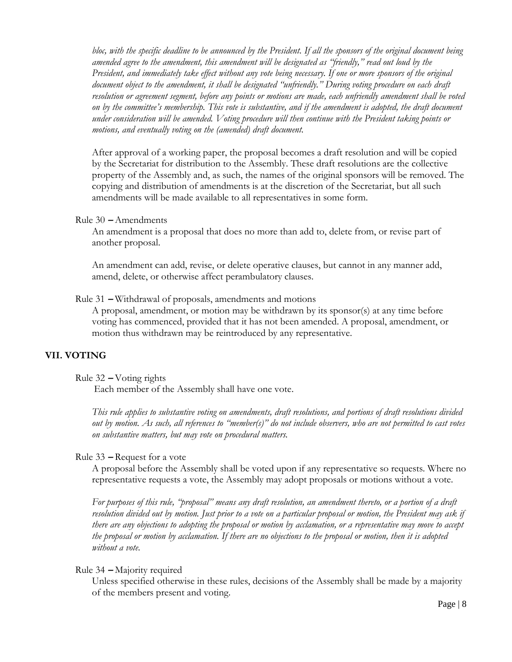*bloc, with the specific deadline to be announced by the President. If all the sponsors of the original document being amended agree to the amendment, this amendment will be designated as "friendly," read out loud by the President, and immediately take effect without any vote being necessary. If one or more sponsors of the original document object to the amendment, it shall be designated "unfriendly." During voting procedure on each draft resolution or agreement segment, before any points or motions are made, each unfriendly amendment shall be voted*  on by the committee's membership. This vote is substantive, and if the amendment is adopted, the draft document *under consideration will be amended. Voting procedure will then continue with the President taking points or motions, and eventually voting on the (amended) draft document.* 

After approval of a working paper, the proposal becomes a draft resolution and will be copied by the Secretariat for distribution to the Assembly. These draft resolutions are the collective property of the Assembly and, as such, the names of the original sponsors will be removed. The copying and distribution of amendments is at the discretion of the Secretariat, but all such amendments will be made available to all representatives in some form.

#### Rule 30 **–** Amendments

An amendment is a proposal that does no more than add to, delete from, or revise part of another proposal.

An amendment can add, revise, or delete operative clauses, but cannot in any manner add, amend, delete, or otherwise affect perambulatory clauses.

#### Rule 31 **–** Withdrawal of proposals, amendments and motions

A proposal, amendment, or motion may be withdrawn by its sponsor(s) at any time before voting has commenced, provided that it has not been amended. A proposal, amendment, or motion thus withdrawn may be reintroduced by any representative.

## **VII. VOTING**

## Rule 32 **–** Voting rights

Each member of the Assembly shall have one vote.

*This rule applies to substantive voting on amendments, draft resolutions, and portions of draft resolutions divided out by motion. As such, all references to "member(s)" do not include observers, who are not permitted to cast votes on substantive matters, but may vote on procedural matters.* 

## Rule 33 **–** Request for a vote

A proposal before the Assembly shall be voted upon if any representative so requests. Where no representative requests a vote, the Assembly may adopt proposals or motions without a vote.

*For purposes of this rule, "proposal" means any draft resolution, an amendment thereto, or a portion of a draft resolution divided out by motion. Just prior to a vote on a particular proposal or motion, the President may ask if there are any objections to adopting the proposal or motion by acclamation, or a representative may move to accept the proposal or motion by acclamation. If there are no objections to the proposal or motion, then it is adopted without a vote.* 

# Rule 34 **–** Majority required

Unless specified otherwise in these rules, decisions of the Assembly shall be made by a majority of the members present and voting.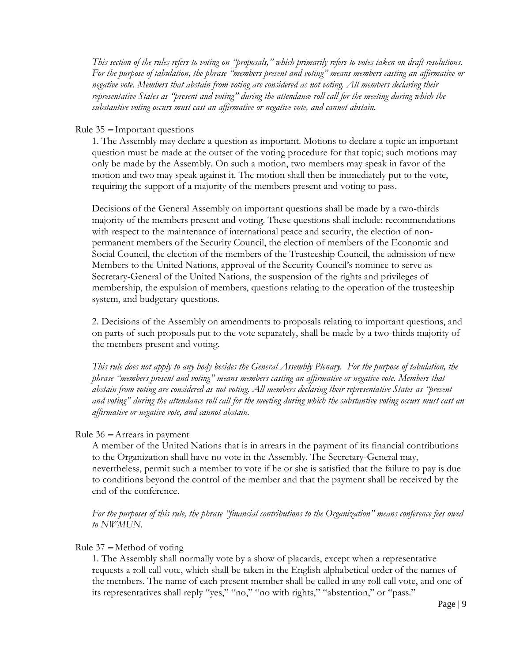*This section of the rules refers to voting on "proposals," which primarily refers to votes taken on draft resolutions. For the purpose of tabulation, the phrase "members present and voting" means members casting an affirmative or negative vote. Members that abstain from voting are considered as not voting. All members declaring their representative States as "present and voting" during the attendance roll call for the meeting during which the substantive voting occurs must cast an affirmative or negative vote, and cannot abstain.* 

#### Rule 35 **–** Important questions

1. The Assembly may declare a question as important. Motions to declare a topic an important question must be made at the outset of the voting procedure for that topic; such motions may only be made by the Assembly. On such a motion, two members may speak in favor of the motion and two may speak against it. The motion shall then be immediately put to the vote, requiring the support of a majority of the members present and voting to pass.

Decisions of the General Assembly on important questions shall be made by a two-thirds majority of the members present and voting. These questions shall include: recommendations with respect to the maintenance of international peace and security, the election of nonpermanent members of the Security Council, the election of members of the Economic and Social Council, the election of the members of the Trusteeship Council, the admission of new Members to the United Nations, approval of the Security Council's nominee to serve as Secretary-General of the United Nations, the suspension of the rights and privileges of membership, the expulsion of members, questions relating to the operation of the trusteeship system, and budgetary questions.

2. Decisions of the Assembly on amendments to proposals relating to important questions, and on parts of such proposals put to the vote separately, shall be made by a two-thirds majority of the members present and voting.

*This rule does not apply to any body besides the General Assembly Plenary. For the purpose of tabulation, the phrase "members present and voting" means members casting an affirmative or negative vote. Members that abstain from voting are considered as not voting. All members declaring their representative States as "present and voting" during the attendance roll call for the meeting during which the substantive voting occurs must cast an affirmative or negative vote, and cannot abstain.* 

## Rule 36 **–** Arrears in payment

A member of the United Nations that is in arrears in the payment of its financial contributions to the Organization shall have no vote in the Assembly. The Secretary-General may, nevertheless, permit such a member to vote if he or she is satisfied that the failure to pay is due to conditions beyond the control of the member and that the payment shall be received by the end of the conference.

*For the purposes of this rule, the phrase "financial contributions to the Organization" means conference fees owed to NWMUN.*

## Rule 37 **–** Method of voting

1. The Assembly shall normally vote by a show of placards, except when a representative requests a roll call vote, which shall be taken in the English alphabetical order of the names of the members. The name of each present member shall be called in any roll call vote, and one of its representatives shall reply "yes," "no," "no with rights," "abstention," or "pass."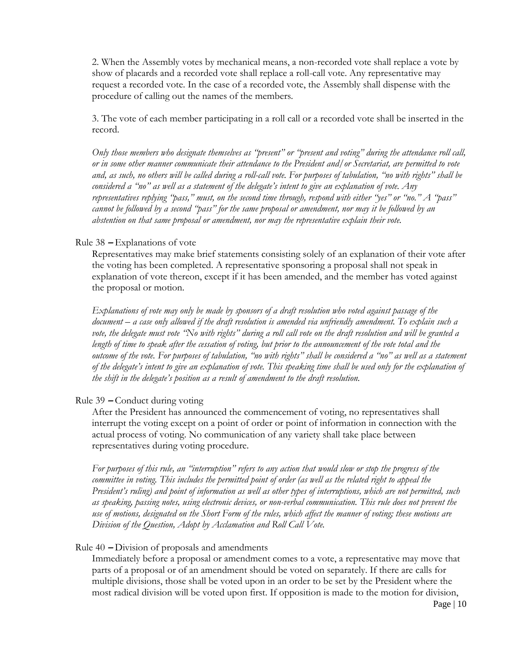2. When the Assembly votes by mechanical means, a non-recorded vote shall replace a vote by show of placards and a recorded vote shall replace a roll-call vote. Any representative may request a recorded vote. In the case of a recorded vote, the Assembly shall dispense with the procedure of calling out the names of the members.

3. The vote of each member participating in a roll call or a recorded vote shall be inserted in the record.

*Only those members who designate themselves as "present" or "present and voting" during the attendance roll call, or in some other manner communicate their attendance to the President and/or Secretariat, are permitted to vote and, as such, no others will be called during a roll-call vote. For purposes of tabulation, "no with rights" shall be considered a "no" as well as a statement of the delegate's intent to give an explanation of vote. Any representatives replying "pass," must, on the second time through, respond with either "yes" or "no." A "pass" cannot be followed by a second "pass" for the same proposal or amendment, nor may it be followed by an abstention on that same proposal or amendment, nor may the representative explain their vote.* 

#### Rule 38 **–** Explanations of vote

Representatives may make brief statements consisting solely of an explanation of their vote after the voting has been completed. A representative sponsoring a proposal shall not speak in explanation of vote thereon, except if it has been amended, and the member has voted against the proposal or motion.

*Explanations of vote may only be made by sponsors of a draft resolution who voted against passage of the document – a case only allowed if the draft resolution is amended via unfriendly amendment. To explain such a vote, the delegate must vote "No with rights" during a roll call vote on the draft resolution and will be granted a length of time to speak after the cessation of voting, but prior to the announcement of the vote total and the outcome of the vote. For purposes of tabulation, "no with rights" shall be considered a "no" as well as a statement of the delegate's intent to give an explanation of vote. This speaking time shall be used only for the explanation of the shift in the delegate's position as a result of amendment to the draft resolution.* 

#### Rule 39 **–** Conduct during voting

After the President has announced the commencement of voting, no representatives shall interrupt the voting except on a point of order or point of information in connection with the actual process of voting. No communication of any variety shall take place between representatives during voting procedure.

*For purposes of this rule, an "interruption" refers to any action that would slow or stop the progress of the committee in voting. This includes the permitted point of order (as well as the related right to appeal the President's ruling) and point of information as well as other types of interruptions, which are not permitted, such as speaking, passing notes, using electronic devices, or non-verbal communication. This rule does not prevent the use of motions, designated on the Short Form of the rules, which affect the manner of voting; these motions are Division of the Question, Adopt by Acclamation and Roll Call Vote.*

#### Rule 40 **–** Division of proposals and amendments

Immediately before a proposal or amendment comes to a vote, a representative may move that parts of a proposal or of an amendment should be voted on separately. If there are calls for multiple divisions, those shall be voted upon in an order to be set by the President where the most radical division will be voted upon first. If opposition is made to the motion for division,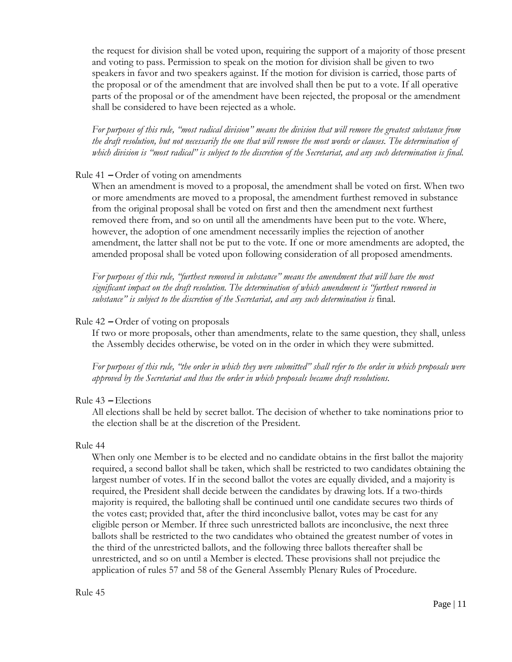the request for division shall be voted upon, requiring the support of a majority of those present and voting to pass. Permission to speak on the motion for division shall be given to two speakers in favor and two speakers against. If the motion for division is carried, those parts of the proposal or of the amendment that are involved shall then be put to a vote. If all operative parts of the proposal or of the amendment have been rejected, the proposal or the amendment shall be considered to have been rejected as a whole.

*For purposes of this rule, "most radical division" means the division that will remove the greatest substance from the draft resolution, but not necessarily the one that will remove the most words or clauses. The determination of which division is "most radical" is subject to the discretion of the Secretariat, and any such determination is final.* 

# Rule 41 **–** Order of voting on amendments

When an amendment is moved to a proposal, the amendment shall be voted on first. When two or more amendments are moved to a proposal, the amendment furthest removed in substance from the original proposal shall be voted on first and then the amendment next furthest removed there from, and so on until all the amendments have been put to the vote. Where, however, the adoption of one amendment necessarily implies the rejection of another amendment, the latter shall not be put to the vote. If one or more amendments are adopted, the amended proposal shall be voted upon following consideration of all proposed amendments.

*For purposes of this rule, "furthest removed in substance" means the amendment that will have the most significant impact on the draft resolution. The determination of which amendment is "furthest removed in substance" is subject to the discretion of the Secretariat, and any such determination is* final.

# Rule 42 **–** Order of voting on proposals

If two or more proposals, other than amendments, relate to the same question, they shall, unless the Assembly decides otherwise, be voted on in the order in which they were submitted.

*For purposes of this rule, "the order in which they were submitted" shall refer to the order in which proposals were approved by the Secretariat and thus the order in which proposals became draft resolutions.* 

## Rule 43 **–** Elections

All elections shall be held by secret ballot. The decision of whether to take nominations prior to the election shall be at the discretion of the President.

## Rule 44

When only one Member is to be elected and no candidate obtains in the first ballot the majority required, a second ballot shall be taken, which shall be restricted to two candidates obtaining the largest number of votes. If in the second ballot the votes are equally divided, and a majority is required, the President shall decide between the candidates by drawing lots. If a two-thirds majority is required, the balloting shall be continued until one candidate secures two thirds of the votes cast; provided that, after the third inconclusive ballot, votes may be cast for any eligible person or Member. If three such unrestricted ballots are inconclusive, the next three ballots shall be restricted to the two candidates who obtained the greatest number of votes in the third of the unrestricted ballots, and the following three ballots thereafter shall be unrestricted, and so on until a Member is elected. These provisions shall not prejudice the application of rules 57 and 58 of the General Assembly Plenary Rules of Procedure.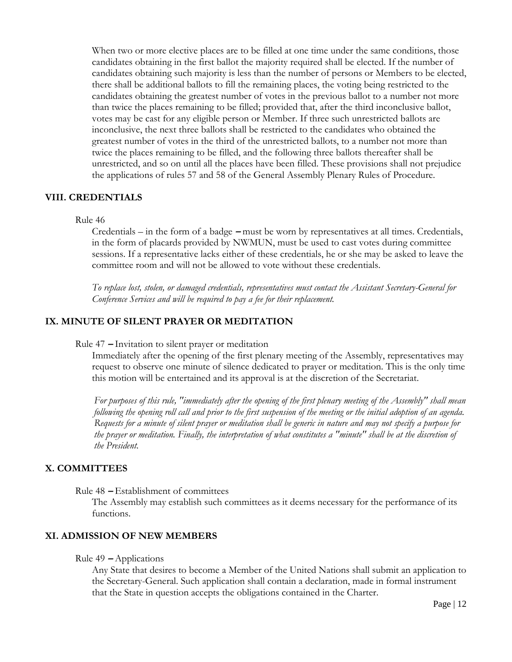When two or more elective places are to be filled at one time under the same conditions, those candidates obtaining in the first ballot the majority required shall be elected. If the number of candidates obtaining such majority is less than the number of persons or Members to be elected, there shall be additional ballots to fill the remaining places, the voting being restricted to the candidates obtaining the greatest number of votes in the previous ballot to a number not more than twice the places remaining to be filled; provided that, after the third inconclusive ballot, votes may be cast for any eligible person or Member. If three such unrestricted ballots are inconclusive, the next three ballots shall be restricted to the candidates who obtained the greatest number of votes in the third of the unrestricted ballots, to a number not more than twice the places remaining to be filled, and the following three ballots thereafter shall be unrestricted, and so on until all the places have been filled. These provisions shall not prejudice the applications of rules 57 and 58 of the General Assembly Plenary Rules of Procedure.

# **VIII. CREDENTIALS**

#### Rule 46

Credentials – in the form of a badge **–** must be worn by representatives at all times. Credentials, in the form of placards provided by NWMUN, must be used to cast votes during committee sessions. If a representative lacks either of these credentials, he or she may be asked to leave the committee room and will not be allowed to vote without these credentials.

*To replace lost, stolen, or damaged credentials, representatives must contact the Assistant Secretary-General for Conference Services and will be required to pay a fee for their replacement.* 

# **IX. MINUTE OF SILENT PRAYER OR MEDITATION**

Rule 47 **–** Invitation to silent prayer or meditation

Immediately after the opening of the first plenary meeting of the Assembly, representatives may request to observe one minute of silence dedicated to prayer or meditation. This is the only time this motion will be entertained and its approval is at the discretion of the Secretariat.

*For purposes of this rule, "immediately after the opening of the first plenary meeting of the Assembly" shall mean following the opening roll call and prior to the first suspension of the meeting or the initial adoption of an agenda. Requests for a minute of silent prayer or meditation shall be generic in nature and may not specify a purpose for the prayer or meditation. Finally, the interpretation of what constitutes a "minute" shall be at the discretion of the President.*

# **X. COMMITTEES**

Rule 48 **–** Establishment of committees

The Assembly may establish such committees as it deems necessary for the performance of its functions.

## **XI. ADMISSION OF NEW MEMBERS**

#### Rule 49 **–** Applications

Any State that desires to become a Member of the United Nations shall submit an application to the Secretary-General. Such application shall contain a declaration, made in formal instrument that the State in question accepts the obligations contained in the Charter.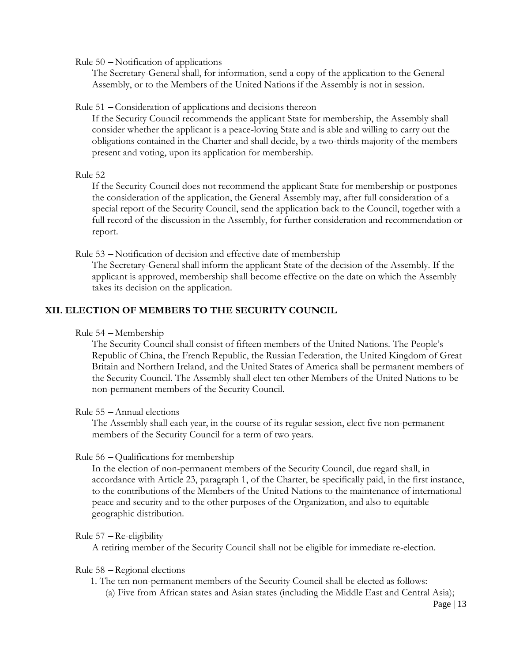Rule 50 **–** Notification of applications

The Secretary-General shall, for information, send a copy of the application to the General Assembly, or to the Members of the United Nations if the Assembly is not in session.

#### Rule 51 **–** Consideration of applications and decisions thereon

If the Security Council recommends the applicant State for membership, the Assembly shall consider whether the applicant is a peace-loving State and is able and willing to carry out the obligations contained in the Charter and shall decide, by a two-thirds majority of the members present and voting, upon its application for membership.

#### Rule 52

If the Security Council does not recommend the applicant State for membership or postpones the consideration of the application, the General Assembly may, after full consideration of a special report of the Security Council, send the application back to the Council, together with a full record of the discussion in the Assembly, for further consideration and recommendation or report.

Rule 53 **–** Notification of decision and effective date of membership

The Secretary-General shall inform the applicant State of the decision of the Assembly. If the applicant is approved, membership shall become effective on the date on which the Assembly takes its decision on the application.

# **XII. ELECTION OF MEMBERS TO THE SECURITY COUNCIL**

Rule 54 **–** Membership

The Security Council shall consist of fifteen members of the United Nations. The People's Republic of China, the French Republic, the Russian Federation, the United Kingdom of Great Britain and Northern Ireland, and the United States of America shall be permanent members of the Security Council. The Assembly shall elect ten other Members of the United Nations to be non-permanent members of the Security Council.

#### Rule 55 **–** Annual elections

The Assembly shall each year, in the course of its regular session, elect five non-permanent members of the Security Council for a term of two years.

#### Rule 56 **–** Qualifications for membership

In the election of non-permanent members of the Security Council, due regard shall, in accordance with Article 23, paragraph 1, of the Charter, be specifically paid, in the first instance, to the contributions of the Members of the United Nations to the maintenance of international peace and security and to the other purposes of the Organization, and also to equitable geographic distribution.

#### Rule 57 **–** Re-eligibility

A retiring member of the Security Council shall not be eligible for immediate re-election.

#### Rule 58 **–** Regional elections

- 1. The ten non-permanent members of the Security Council shall be elected as follows:
	- (a) Five from African states and Asian states (including the Middle East and Central Asia);